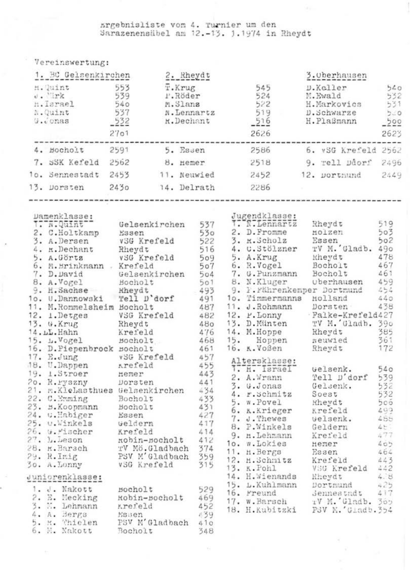## srgebnisliste von 4. Turnier um den<br>Sarazenensübel am 12.-13. 1.1974 in Rheydt

 $\overline{u}$  can be a constructed as  $\overline{u}$ 

|                                                                             | A C T C TTO A CT. A HTTL .                                                                                                                                                                                                                                                                                                                                                                                         |                              |                                                                                         |                    |  |                                                                                                                                                                                       |  |                                                                 |        |
|-----------------------------------------------------------------------------|--------------------------------------------------------------------------------------------------------------------------------------------------------------------------------------------------------------------------------------------------------------------------------------------------------------------------------------------------------------------------------------------------------------------|------------------------------|-----------------------------------------------------------------------------------------|--------------------|--|---------------------------------------------------------------------------------------------------------------------------------------------------------------------------------------|--|-----------------------------------------------------------------|--------|
|                                                                             | 1. BC Gelsenkirchen                                                                                                                                                                                                                                                                                                                                                                                                |                              | 2. Rheydt                                                                               |                    |  | 3. Oberhausen                                                                                                                                                                         |  |                                                                 |        |
| 553<br>H. Quint<br>J. Mrk<br>h.Israel<br>N.Quint<br>$G_{\bullet}\circ$ onas |                                                                                                                                                                                                                                                                                                                                                                                                                    | 539<br>540<br>$-532$<br>2701 | T.Krug<br>P.Röder<br>M.Slanz<br>537 <b>N. Lennartz</b> 519<br>532 <b>R. Dechant</b> 516 |                    |  | 545<br>524<br>522<br>2626                                                                                                                                                             |  | D.Koller<br>M.Ewald<br>H.Markovics<br>D.Schwarze<br>H. Plaßmann |        |
|                                                                             | 4. Bocholt 2591 5. Essen                                                                                                                                                                                                                                                                                                                                                                                           |                              |                                                                                         |                    |  |                                                                                                                                                                                       |  | 2586 6. vSG Krefeld 2562                                        | ------ |
|                                                                             | 7. SSK Kefeld 2562                                                                                                                                                                                                                                                                                                                                                                                                 |                              |                                                                                         | 8. Hemer           |  | 2518                                                                                                                                                                                  |  | 9. rell Ddorf 2496                                              |        |
|                                                                             | 1o. Sennestadt 2453                                                                                                                                                                                                                                                                                                                                                                                                |                              |                                                                                         | 11. Neuwied        |  | 2452 12. Dortmund 2449                                                                                                                                                                |  |                                                                 |        |
|                                                                             | 13. Dorsten 2430 14. Delrath                                                                                                                                                                                                                                                                                                                                                                                       |                              |                                                                                         |                    |  | 2286                                                                                                                                                                                  |  |                                                                 |        |
|                                                                             | $\begin{tabular}{l c c c c c} \hline \texttt{r}=\texttt{r}=\texttt{r}=\texttt{r}=\texttt{r}=\texttt{r}=\texttt{r}=\texttt{r}=\texttt{r}=\texttt{r}=\texttt{r}=\texttt{r}=\texttt{r}=\texttt{r}=\texttt{r}=\texttt{r}=\texttt{r}=\texttt{r}=\texttt{r}=\texttt{r}=\texttt{r}=\texttt{r}=\texttt{r}=\texttt{r}=\texttt{r}=\texttt{r}=\texttt{r}=\texttt{r}=\texttt{r}=\texttt{r}=\texttt{r}=\texttt{r}=\texttt{r}=\$ |                              |                                                                                         |                    |  |                                                                                                                                                                                       |  |                                                                 |        |
|                                                                             |                                                                                                                                                                                                                                                                                                                                                                                                                    |                              |                                                                                         |                    |  |                                                                                                                                                                                       |  |                                                                 |        |
|                                                                             |                                                                                                                                                                                                                                                                                                                                                                                                                    |                              |                                                                                         |                    |  |                                                                                                                                                                                       |  |                                                                 |        |
|                                                                             |                                                                                                                                                                                                                                                                                                                                                                                                                    |                              |                                                                                         |                    |  |                                                                                                                                                                                       |  |                                                                 |        |
|                                                                             |                                                                                                                                                                                                                                                                                                                                                                                                                    |                              |                                                                                         |                    |  |                                                                                                                                                                                       |  |                                                                 |        |
|                                                                             |                                                                                                                                                                                                                                                                                                                                                                                                                    |                              |                                                                                         |                    |  |                                                                                                                                                                                       |  |                                                                 |        |
|                                                                             |                                                                                                                                                                                                                                                                                                                                                                                                                    |                              |                                                                                         |                    |  |                                                                                                                                                                                       |  |                                                                 |        |
|                                                                             |                                                                                                                                                                                                                                                                                                                                                                                                                    |                              |                                                                                         |                    |  |                                                                                                                                                                                       |  |                                                                 |        |
|                                                                             |                                                                                                                                                                                                                                                                                                                                                                                                                    |                              |                                                                                         |                    |  |                                                                                                                                                                                       |  |                                                                 |        |
|                                                                             |                                                                                                                                                                                                                                                                                                                                                                                                                    |                              |                                                                                         |                    |  |                                                                                                                                                                                       |  |                                                                 |        |
|                                                                             |                                                                                                                                                                                                                                                                                                                                                                                                                    |                              |                                                                                         |                    |  |                                                                                                                                                                                       |  |                                                                 |        |
|                                                                             |                                                                                                                                                                                                                                                                                                                                                                                                                    |                              |                                                                                         |                    |  |                                                                                                                                                                                       |  |                                                                 |        |
|                                                                             | 10. U.M.<br>M.Romelshein Bocholt 1997<br>12. 1. Detges V35 Krefeld 452<br>13. G.Krug Rheydt 480<br>14. L.L.Hahn Krefeld 476<br>15. L.Vogel Bocholt 466<br>15. L.Vogel Bocholt 461<br>16. D.Piepenbrock Bocholt 461<br>16. D.Piepenbrock Bocho                                                                                                                                                                      |                              |                                                                                         |                    |  | 10. Timerraunn norsaten 1788<br>12. P. Lonny – Palke-Krefeld427<br>13. D. Münten – TV M. Gladh 590<br>14. M. Hoppen neuvied 561<br>15. Hoppen neuvied 561<br>16. K. Voßen neuvied 561 |  |                                                                 |        |
|                                                                             |                                                                                                                                                                                                                                                                                                                                                                                                                    |                              |                                                                                         |                    |  |                                                                                                                                                                                       |  |                                                                 |        |
|                                                                             |                                                                                                                                                                                                                                                                                                                                                                                                                    |                              |                                                                                         |                    |  |                                                                                                                                                                                       |  |                                                                 |        |
|                                                                             |                                                                                                                                                                                                                                                                                                                                                                                                                    |                              |                                                                                         |                    |  |                                                                                                                                                                                       |  |                                                                 |        |
|                                                                             |                                                                                                                                                                                                                                                                                                                                                                                                                    |                              |                                                                                         |                    |  |                                                                                                                                                                                       |  |                                                                 |        |
|                                                                             |                                                                                                                                                                                                                                                                                                                                                                                                                    |                              |                                                                                         |                    |  |                                                                                                                                                                                       |  |                                                                 |        |
|                                                                             |                                                                                                                                                                                                                                                                                                                                                                                                                    |                              |                                                                                         |                    |  |                                                                                                                                                                                       |  |                                                                 |        |
|                                                                             |                                                                                                                                                                                                                                                                                                                                                                                                                    |                              |                                                                                         |                    |  |                                                                                                                                                                                       |  |                                                                 |        |
|                                                                             |                                                                                                                                                                                                                                                                                                                                                                                                                    |                              |                                                                                         |                    |  |                                                                                                                                                                                       |  |                                                                 |        |
|                                                                             |                                                                                                                                                                                                                                                                                                                                                                                                                    |                              |                                                                                         |                    |  |                                                                                                                                                                                       |  |                                                                 |        |
|                                                                             |                                                                                                                                                                                                                                                                                                                                                                                                                    |                              |                                                                                         |                    |  |                                                                                                                                                                                       |  |                                                                 |        |
|                                                                             |                                                                                                                                                                                                                                                                                                                                                                                                                    |                              |                                                                                         |                    |  |                                                                                                                                                                                       |  |                                                                 |        |
|                                                                             |                                                                                                                                                                                                                                                                                                                                                                                                                    |                              |                                                                                         |                    |  |                                                                                                                                                                                       |  |                                                                 |        |
|                                                                             |                                                                                                                                                                                                                                                                                                                                                                                                                    |                              |                                                                                         |                    |  |                                                                                                                                                                                       |  |                                                                 |        |
|                                                                             |                                                                                                                                                                                                                                                                                                                                                                                                                    |                              |                                                                                         |                    |  |                                                                                                                                                                                       |  |                                                                 |        |
|                                                                             |                                                                                                                                                                                                                                                                                                                                                                                                                    |                              |                                                                                         |                    |  |                                                                                                                                                                                       |  |                                                                 |        |
|                                                                             |                                                                                                                                                                                                                                                                                                                                                                                                                    |                              |                                                                                         |                    |  |                                                                                                                                                                                       |  |                                                                 |        |
|                                                                             |                                                                                                                                                                                                                                                                                                                                                                                                                    |                              |                                                                                         |                    |  |                                                                                                                                                                                       |  |                                                                 |        |
|                                                                             |                                                                                                                                                                                                                                                                                                                                                                                                                    |                              |                                                                                         |                    |  |                                                                                                                                                                                       |  |                                                                 |        |
|                                                                             | Juniorenklasse:                                                                                                                                                                                                                                                                                                                                                                                                    |                              |                                                                                         |                    |  |                                                                                                                                                                                       |  |                                                                 |        |
|                                                                             |                                                                                                                                                                                                                                                                                                                                                                                                                    |                              |                                                                                         |                    |  | 14. H. Wienands Energy 4.25<br>15. L. Kuhlmann Bortmund 4.25<br>16. Preund 3enesstadt 4.17<br>17. W. Barsch r M. Gladb. 369<br>18. H. Kubitzki PSV N. Gladb. 354                      |  |                                                                 |        |
|                                                                             | 1. J. Nakott Bocholt 529<br>2. E. Mecking Robin-Bocholt 469                                                                                                                                                                                                                                                                                                                                                        |                              |                                                                                         | 529                |  |                                                                                                                                                                                       |  |                                                                 |        |
|                                                                             |                                                                                                                                                                                                                                                                                                                                                                                                                    |                              |                                                                                         |                    |  |                                                                                                                                                                                       |  |                                                                 |        |
|                                                                             | 3. M. Lehmann Krefeld (452)<br>4. A. Bergs Masen (39)                                                                                                                                                                                                                                                                                                                                                              |                              |                                                                                         |                    |  |                                                                                                                                                                                       |  |                                                                 |        |
|                                                                             | 4. A. Bergs - Essen<br>5. H. Vhiolen - PSV M'                                                                                                                                                                                                                                                                                                                                                                      |                              |                                                                                         | 639                |  |                                                                                                                                                                                       |  |                                                                 |        |
|                                                                             |                                                                                                                                                                                                                                                                                                                                                                                                                    |                              |                                                                                         | PSV M'Gladbach 410 |  |                                                                                                                                                                                       |  |                                                                 |        |
|                                                                             | 6 M Mohart Bookers                                                                                                                                                                                                                                                                                                                                                                                                 |                              |                                                                                         | 2.4.9              |  |                                                                                                                                                                                       |  |                                                                 |        |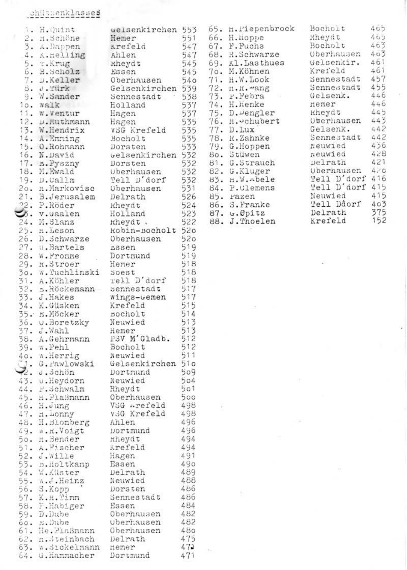## chüttenklasses

| 1. H. Quint                               |                                                                                                                                                                                                                                                                                                        |     | welsenkirchen 553 65. H. Piepenbrock                                                              | Bocholt           | 465  |
|-------------------------------------------|--------------------------------------------------------------------------------------------------------------------------------------------------------------------------------------------------------------------------------------------------------------------------------------------------------|-----|---------------------------------------------------------------------------------------------------|-------------------|------|
| 2. n.Schöne-                              | Hemer                                                                                                                                                                                                                                                                                                  |     | 551 66. Н. порре                                                                                  | Rheydt            | 465  |
| 3. A.Dappen                               | Arefeld                                                                                                                                                                                                                                                                                                |     | 547 67. F. Fuchs                                                                                  | Bocholt           | 463  |
| 4. K.nelling                              | Ahlen                                                                                                                                                                                                                                                                                                  |     | 547 68. R.Schwarze                                                                                | Oberhausen        | 403  |
| 5. T.Krug                                 | sheet<br>Sasen<br>Regist<br>Sasen<br>Sasen<br>Sasen<br>Sasen<br>Sasen<br>Sasen<br>Sasen<br>Sasen<br>Sasen<br>Sasen<br>Sasen<br>Sasen<br>Sasen<br>Sasen<br>Sasen<br>Sasen<br>Sasen<br>Sasen<br>Sasen<br>Sasen<br>Sasen<br>Sasen<br>Sasen<br>Sasen<br>Sasen<br>Sasen<br>Sasen<br>Sasen<br>Sase<br>kheydt |     |                                                                                                   | Gelsenkir.        | 461  |
| 6. B. Scholz                              |                                                                                                                                                                                                                                                                                                        |     |                                                                                                   | Krefeld           | 461  |
| 7. D.Keller                               |                                                                                                                                                                                                                                                                                                        |     |                                                                                                   | Sennestadt        | 457  |
| S. J.Türk                                 |                                                                                                                                                                                                                                                                                                        |     |                                                                                                   | Sennestadt        | 455  |
| 9. W.Sander                               |                                                                                                                                                                                                                                                                                                        |     |                                                                                                   | Gelsenk.          | 446  |
|                                           |                                                                                                                                                                                                                                                                                                        |     | 377 74. H.Henke<br>537 75. D. Dengler<br>535 76. H. D. Lux<br>535 77. D. Lux<br>535 78. R. Zahnke |                   | 446  |
| io. walk                                  |                                                                                                                                                                                                                                                                                                        |     |                                                                                                   | Hemer<br>kheydt   | 445  |
| 11. W.Ventur                              | Hagen                                                                                                                                                                                                                                                                                                  |     |                                                                                                   |                   | 443  |
| 12. D.Muthmann                            | Hagen                                                                                                                                                                                                                                                                                                  |     |                                                                                                   | <b>Uberhausen</b> |      |
| 13. W.Hendrix                             | V5G Krefeld                                                                                                                                                                                                                                                                                            |     |                                                                                                   | Gelsenk.          | 442  |
| 14. A.Emming                              | Bocholt<br>Dorsten                                                                                                                                                                                                                                                                                     |     | 535 78. H.Zahnke<br>533 79. G.Hoppen                                                              | Sennestadt        | 442  |
| 15. O.Rohmann                             | Dorsten                                                                                                                                                                                                                                                                                                |     |                                                                                                   | meuwied           | 436  |
| 16. N.David                               | elsenkirchen 532 86. Stüwen<br>Dorsten 532 81. G.Strauch<br>Oberhausen 532 82. G.Kluger<br>Tell L'dorf 532 83. a.W.Abele                                                                                                                                                                               |     |                                                                                                   | neuwied           | 428  |
| 17. B.Pyszny                              |                                                                                                                                                                                                                                                                                                        |     |                                                                                                   | pelrath           | 421  |
| 18. M.Ewald<br>19. D.Callm                |                                                                                                                                                                                                                                                                                                        |     |                                                                                                   | <b>Oberhausen</b> | 4.70 |
|                                           |                                                                                                                                                                                                                                                                                                        |     | 532 83. n.W. bele<br>531 84. P. Clemens<br>526 85. razen                                          | Yell D'dorf 416   |      |
|                                           | 20. n.Markovisc Oberhausen                                                                                                                                                                                                                                                                             |     |                                                                                                   | Tell D'dorf 415   |      |
| 21. B.Jerusalem Delrath                   |                                                                                                                                                                                                                                                                                                        |     |                                                                                                   | Neuwied           | 415  |
| 22. P.Röder                               | Kheydt                                                                                                                                                                                                                                                                                                 |     | 524 86. S.Franke                                                                                  | Tell Ddorf        | 403  |
| S. v. Gaalen                              |                                                                                                                                                                                                                                                                                                        |     | 523 87. u.Øpitz                                                                                   | Delrath           | 375  |
|                                           | Holland<br>kheydt.                                                                                                                                                                                                                                                                                     |     | 522 88. J. Thoelen                                                                                | Krefeld           | 152  |
| 24. M.Slanz<br>25. m.Leson                |                                                                                                                                                                                                                                                                                                        |     |                                                                                                   |                   |      |
|                                           | Robin-Bocholt 520                                                                                                                                                                                                                                                                                      |     |                                                                                                   |                   |      |
| 26. D. Schwarze                           | Oberhausen                                                                                                                                                                                                                                                                                             | 520 |                                                                                                   |                   |      |
| 27. u.Bartels                             | <b>LSSen</b>                                                                                                                                                                                                                                                                                           | 519 |                                                                                                   |                   |      |
| 28. W.Fronme<br>29. H.Stroer              | Dortmund                                                                                                                                                                                                                                                                                               | 519 |                                                                                                   |                   |      |
|                                           | Hemer                                                                                                                                                                                                                                                                                                  | 518 |                                                                                                   |                   |      |
| 30. W. Tuchlinski Soest                   |                                                                                                                                                                                                                                                                                                        | 518 |                                                                                                   |                   |      |
| 31. A.Köhler                              | rell D'dorf                                                                                                                                                                                                                                                                                            | 518 |                                                                                                   |                   |      |
| 32. S.Röckemann Sennestadt                |                                                                                                                                                                                                                                                                                                        | 517 |                                                                                                   |                   |      |
| 33. J.Hakes                               | wings-wemen                                                                                                                                                                                                                                                                                            | 517 |                                                                                                   |                   |      |
| 34. K.Güsken                              | Krefeld                                                                                                                                                                                                                                                                                                | 515 |                                                                                                   |                   |      |
| 35. K.Möcker                              | Bocholt                                                                                                                                                                                                                                                                                                | 514 |                                                                                                   |                   |      |
| 36. u.Boretzky                            | Neuwied                                                                                                                                                                                                                                                                                                | 513 |                                                                                                   |                   |      |
| 37. J.Wahl                                | Hemer                                                                                                                                                                                                                                                                                                  | 513 |                                                                                                   |                   |      |
| 38. A.Gehrmann                            | PSV M'Gladb.                                                                                                                                                                                                                                                                                           | 512 |                                                                                                   |                   |      |
|                                           | Bocholt                                                                                                                                                                                                                                                                                                | 512 |                                                                                                   |                   |      |
| 39. w.Pehl<br>40. m.Herrig                |                                                                                                                                                                                                                                                                                                        |     |                                                                                                   |                   |      |
|                                           | Neuwied                                                                                                                                                                                                                                                                                                | 511 |                                                                                                   |                   |      |
|                                           | 31. G. Pawlowski Gelsenkirchen 510                                                                                                                                                                                                                                                                     |     |                                                                                                   |                   |      |
|                                           |                                                                                                                                                                                                                                                                                                        |     |                                                                                                   |                   |      |
| 43. u.Heydorn<br>44. P.Schwalm            | Neuwied                                                                                                                                                                                                                                                                                                | 504 |                                                                                                   |                   |      |
|                                           | Rheydt                                                                                                                                                                                                                                                                                                 | 501 |                                                                                                   |                   |      |
| 45. H.PlaSmann                            | Oberhausen                                                                                                                                                                                                                                                                                             | 500 |                                                                                                   |                   |      |
| 46. H.Jung                                | VSG Arefeld                                                                                                                                                                                                                                                                                            | 498 |                                                                                                   |                   |      |
| $\frac{47}{48}$ . $\frac{1}{3}$ . Lonny   | v.G Krefeld                                                                                                                                                                                                                                                                                            | 498 |                                                                                                   |                   |      |
| 48. H. Blomberg                           | Ahlen                                                                                                                                                                                                                                                                                                  | 496 |                                                                                                   |                   |      |
| 49. a.H.Voigt                             | Dortmund                                                                                                                                                                                                                                                                                               | 496 |                                                                                                   |                   |      |
| 50. H. Bender                             | meydt                                                                                                                                                                                                                                                                                                  | 494 |                                                                                                   |                   |      |
| 51. A. Pischer                            | Krefeld                                                                                                                                                                                                                                                                                                | 494 |                                                                                                   |                   |      |
| 52. J.Wille                               | Hagen                                                                                                                                                                                                                                                                                                  | 491 |                                                                                                   |                   |      |
| 53. n.Holtkamp                            | Essen                                                                                                                                                                                                                                                                                                  | 490 |                                                                                                   |                   |      |
| 54. W.Klister                             |                                                                                                                                                                                                                                                                                                        | 489 |                                                                                                   |                   |      |
|                                           | Delrath                                                                                                                                                                                                                                                                                                |     |                                                                                                   |                   |      |
| 55. w.J.Heinz                             | Neuwied                                                                                                                                                                                                                                                                                                | 488 |                                                                                                   |                   |      |
| 56. S.Kopp                                | Dorsten                                                                                                                                                                                                                                                                                                | 486 |                                                                                                   |                   |      |
| 57. K.H. Timm                             | Sennestadt                                                                                                                                                                                                                                                                                             | 486 |                                                                                                   |                   |      |
| 58. F.Habiger<br>59. D.Dube<br>60. s.Dube | Essen                                                                                                                                                                                                                                                                                                  | 484 |                                                                                                   |                   |      |
|                                           | Oberhausen                                                                                                                                                                                                                                                                                             | 482 |                                                                                                   |                   |      |
|                                           | uberhausen                                                                                                                                                                                                                                                                                             | 482 |                                                                                                   |                   |      |
| 61. He.PlaSmann Oberhausen                |                                                                                                                                                                                                                                                                                                        | 480 |                                                                                                   |                   |      |
| 62. n.Steinbach                           | Delrath                                                                                                                                                                                                                                                                                                | 475 |                                                                                                   |                   |      |
| 63. ». Sickelmann                         | Hemer                                                                                                                                                                                                                                                                                                  | 472 |                                                                                                   |                   |      |
| 64. G. Hammacher Dortmund                 |                                                                                                                                                                                                                                                                                                        | 471 |                                                                                                   |                   |      |
|                                           |                                                                                                                                                                                                                                                                                                        |     |                                                                                                   |                   |      |